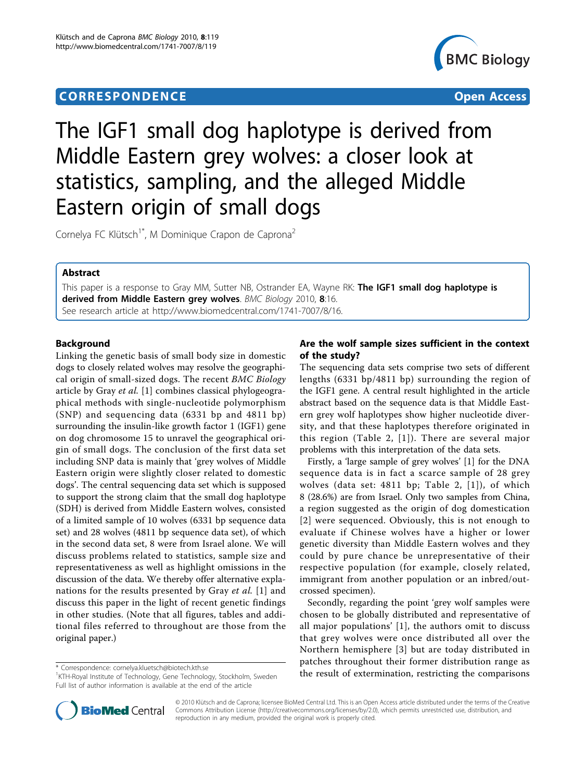## **CORRESPONDENCE CORRESPONDENCE** *CORRESPONDENCE*



# The IGF1 small dog haplotype is derived from Middle Eastern grey wolves: a closer look at statistics, sampling, and the alleged Middle Eastern origin of small dogs

Cornelya FC Klütsch<sup>1\*</sup>, M Dominique Crapon de Caprona<sup>2</sup>

## Abstract

This paper is a response to Gray MM, Sutter NB, Ostrander EA, Wayne RK: The IGF1 small dog haplotype is derived from Middle Eastern grey wolves. BMC Biology 2010, 8:16. See research article at [http://www.biomedcentral.com/1741-7007/8/16.](http://www.biomedcentral.com/1741-7007/8/16)

## Background

Linking the genetic basis of small body size in domestic dogs to closely related wolves may resolve the geographical origin of small-sized dogs. The recent BMC Biology article by Gray et al. [\[1](#page-3-0)] combines classical phylogeographical methods with single-nucleotide polymorphism (SNP) and sequencing data (6331 bp and 4811 bp) surrounding the insulin-like growth factor 1 (IGF1) gene on dog chromosome 15 to unravel the geographical origin of small dogs. The conclusion of the first data set including SNP data is mainly that 'grey wolves of Middle Eastern origin were slightly closer related to domestic dogs'. The central sequencing data set which is supposed to support the strong claim that the small dog haplotype (SDH) is derived from Middle Eastern wolves, consisted of a limited sample of 10 wolves (6331 bp sequence data set) and 28 wolves (4811 bp sequence data set), of which in the second data set, 8 were from Israel alone. We will discuss problems related to statistics, sample size and representativeness as well as highlight omissions in the discussion of the data. We thereby offer alternative expla-nations for the results presented by Gray et al. [[1\]](#page-3-0) and discuss this paper in the light of recent genetic findings in other studies. (Note that all figures, tables and additional files referred to throughout are those from the original paper.)

## Are the wolf sample sizes sufficient in the context of the study?

The sequencing data sets comprise two sets of different lengths (6331 bp/4811 bp) surrounding the region of the IGF1 gene. A central result highlighted in the article abstract based on the sequence data is that Middle Eastern grey wolf haplotypes show higher nucleotide diversity, and that these haplotypes therefore originated in this region (Table 2, [[1\]](#page-3-0)). There are several major problems with this interpretation of the data sets.

Firstly, a 'large sample of grey wolves' [[1\]](#page-3-0) for the DNA sequence data is in fact a scarce sample of 28 grey wolves (data set: 4811 bp; Table 2, [[1\]](#page-3-0)), of which 8 (28.6%) are from Israel. Only two samples from China, a region suggested as the origin of dog domestication [[2](#page-3-0)] were sequenced. Obviously, this is not enough to evaluate if Chinese wolves have a higher or lower genetic diversity than Middle Eastern wolves and they could by pure chance be unrepresentative of their respective population (for example, closely related, immigrant from another population or an inbred/outcrossed specimen).

Secondly, regarding the point 'grey wolf samples were chosen to be globally distributed and representative of all major populations' [[1](#page-3-0)], the authors omit to discuss that grey wolves were once distributed all over the Northern hemisphere [[3\]](#page-3-0) but are today distributed in patches throughout their former distribution range as the result of extermination, restricting the comparisons \* Correspondence: [cornelya.kluetsch@biotech.kth.se](mailto:cornelya.kluetsch@biotech.kth.se)



© 2010 Klütsch and de Caprona; licensee BioMed Central Ltd. This is an Open Access article distributed under the terms of the Creative Commons Attribution License [\(http://creativecommons.org/licenses/by/2.0](http://creativecommons.org/licenses/by/2.0)), which permits unrestricted use, distribution, and reproduction in any medium, provided the original work is properly cited.

<sup>&</sup>lt;sup>1</sup>KTH-Royal Institute of Technology, Gene Technology, Stockholm, Sweden Full list of author information is available at the end of the article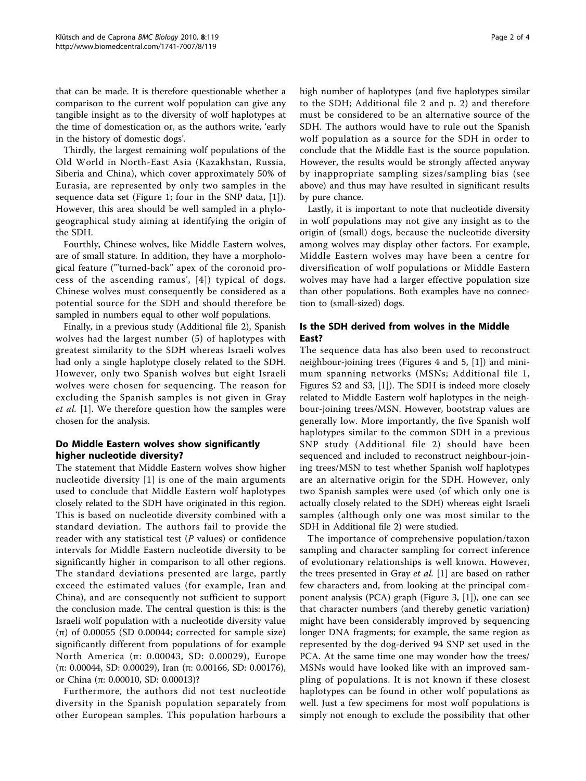that can be made. It is therefore questionable whether a comparison to the current wolf population can give any tangible insight as to the diversity of wolf haplotypes at the time of domestication or, as the authors write, 'early in the history of domestic dogs'.

Thirdly, the largest remaining wolf populations of the Old World in North-East Asia (Kazakhstan, Russia, Siberia and China), which cover approximately 50% of Eurasia, are represented by only two samples in the sequence data set (Figure 1; four in the SNP data, [[1\]](#page-3-0)). However, this area should be well sampled in a phylogeographical study aiming at identifying the origin of the SDH.

Fourthly, Chinese wolves, like Middle Eastern wolves, are of small stature. In addition, they have a morphological feature ('"turned-back" apex of the coronoid process of the ascending ramus', [[4\]](#page-3-0)) typical of dogs. Chinese wolves must consequently be considered as a potential source for the SDH and should therefore be sampled in numbers equal to other wolf populations.

Finally, in a previous study (Additional file 2), Spanish wolves had the largest number (5) of haplotypes with greatest similarity to the SDH whereas Israeli wolves had only a single haplotype closely related to the SDH. However, only two Spanish wolves but eight Israeli wolves were chosen for sequencing. The reason for excluding the Spanish samples is not given in Gray et al. [[1\]](#page-3-0). We therefore question how the samples were chosen for the analysis.

## Do Middle Eastern wolves show significantly higher nucleotide diversity?

The statement that Middle Eastern wolves show higher nucleotide diversity [[1](#page-3-0)] is one of the main arguments used to conclude that Middle Eastern wolf haplotypes closely related to the SDH have originated in this region. This is based on nucleotide diversity combined with a standard deviation. The authors fail to provide the reader with any statistical test  $(P \text{ values})$  or confidence intervals for Middle Eastern nucleotide diversity to be significantly higher in comparison to all other regions. The standard deviations presented are large, partly exceed the estimated values (for example, Iran and China), and are consequently not sufficient to support the conclusion made. The central question is this: is the Israeli wolf population with a nucleotide diversity value (π) of 0.00055 (SD 0.00044; corrected for sample size) significantly different from populations of for example North America (π: 0.00043, SD: 0.00029), Europe (π: 0.00044, SD: 0.00029), Iran (π: 0.00166, SD: 0.00176), or China (π: 0.00010, SD: 0.00013)?

Furthermore, the authors did not test nucleotide diversity in the Spanish population separately from other European samples. This population harbours a high number of haplotypes (and five haplotypes similar to the SDH; Additional file 2 and p. 2) and therefore must be considered to be an alternative source of the SDH. The authors would have to rule out the Spanish wolf population as a source for the SDH in order to conclude that the Middle East is the source population. However, the results would be strongly affected anyway by inappropriate sampling sizes/sampling bias (see above) and thus may have resulted in significant results by pure chance.

Lastly, it is important to note that nucleotide diversity in wolf populations may not give any insight as to the origin of (small) dogs, because the nucleotide diversity among wolves may display other factors. For example, Middle Eastern wolves may have been a centre for diversification of wolf populations or Middle Eastern wolves may have had a larger effective population size than other populations. Both examples have no connection to (small-sized) dogs.

## Is the SDH derived from wolves in the Middle East?

The sequence data has also been used to reconstruct neighbour-joining trees (Figures 4 and 5, [[1\]](#page-3-0)) and minimum spanning networks (MSNs; Additional file 1, Figures S2 and S3, [[1](#page-3-0)]). The SDH is indeed more closely related to Middle Eastern wolf haplotypes in the neighbour-joining trees/MSN. However, bootstrap values are generally low. More importantly, the five Spanish wolf haplotypes similar to the common SDH in a previous SNP study (Additional file 2) should have been sequenced and included to reconstruct neighbour-joining trees/MSN to test whether Spanish wolf haplotypes are an alternative origin for the SDH. However, only two Spanish samples were used (of which only one is actually closely related to the SDH) whereas eight Israeli samples (although only one was most similar to the SDH in Additional file 2) were studied.

The importance of comprehensive population/taxon sampling and character sampling for correct inference of evolutionary relationships is well known. However, the trees presented in Gray *et al.* [\[1](#page-3-0)] are based on rather few characters and, from looking at the principal component analysis (PCA) graph (Figure 3, [\[1](#page-3-0)]), one can see that character numbers (and thereby genetic variation) might have been considerably improved by sequencing longer DNA fragments; for example, the same region as represented by the dog-derived 94 SNP set used in the PCA. At the same time one may wonder how the trees/ MSNs would have looked like with an improved sampling of populations. It is not known if these closest haplotypes can be found in other wolf populations as well. Just a few specimens for most wolf populations is simply not enough to exclude the possibility that other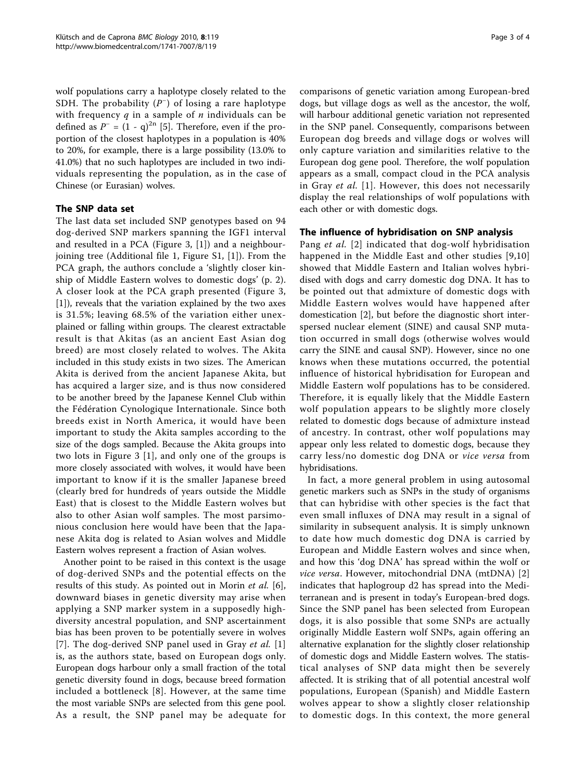wolf populations carry a haplotype closely related to the SDH. The probability  $(P^-)$  of losing a rare haplotype with frequency  $q$  in a sample of  $n$  individuals can be defined as  $P^- = (1 - q)^{2n}$  [[5\]](#page-3-0). Therefore, even if the proportion of the closest haplotypes in a population is 40% to 20%, for example, there is a large possibility (13.0% to 41.0%) that no such haplotypes are included in two individuals representing the population, as in the case of Chinese (or Eurasian) wolves.

## The SNP data set

The last data set included SNP genotypes based on 94 dog-derived SNP markers spanning the IGF1 interval and resulted in a PCA (Figure 3, [\[1](#page-3-0)]) and a neighbourjoining tree (Additional file 1, Figure S1, [[1\]](#page-3-0)). From the PCA graph, the authors conclude a 'slightly closer kinship of Middle Eastern wolves to domestic dogs' (p. 2). A closer look at the PCA graph presented (Figure 3, [[1\]](#page-3-0)), reveals that the variation explained by the two axes is 31.5%; leaving 68.5% of the variation either unexplained or falling within groups. The clearest extractable result is that Akitas (as an ancient East Asian dog breed) are most closely related to wolves. The Akita included in this study exists in two sizes. The American Akita is derived from the ancient Japanese Akita, but has acquired a larger size, and is thus now considered to be another breed by the Japanese Kennel Club within the Fédération Cynologique Internationale. Since both breeds exist in North America, it would have been important to study the Akita samples according to the size of the dogs sampled. Because the Akita groups into two lots in Figure 3 [[1\]](#page-3-0), and only one of the groups is more closely associated with wolves, it would have been important to know if it is the smaller Japanese breed (clearly bred for hundreds of years outside the Middle East) that is closest to the Middle Eastern wolves but also to other Asian wolf samples. The most parsimonious conclusion here would have been that the Japanese Akita dog is related to Asian wolves and Middle Eastern wolves represent a fraction of Asian wolves.

Another point to be raised in this context is the usage of dog-derived SNPs and the potential effects on the results of this study. As pointed out in Morin et al. [\[6](#page-3-0)], downward biases in genetic diversity may arise when applying a SNP marker system in a supposedly highdiversity ancestral population, and SNP ascertainment bias has been proven to be potentially severe in wolves [[7](#page-3-0)]. The dog-derived SNP panel used in Gray et al.  $[1]$  $[1]$ is, as the authors state, based on European dogs only. European dogs harbour only a small fraction of the total genetic diversity found in dogs, because breed formation included a bottleneck [[8](#page-3-0)]. However, at the same time the most variable SNPs are selected from this gene pool. As a result, the SNP panel may be adequate for comparisons of genetic variation among European-bred dogs, but village dogs as well as the ancestor, the wolf, will harbour additional genetic variation not represented in the SNP panel. Consequently, comparisons between European dog breeds and village dogs or wolves will only capture variation and similarities relative to the European dog gene pool. Therefore, the wolf population appears as a small, compact cloud in the PCA analysis in Gray et al. [[1](#page-3-0)]. However, this does not necessarily display the real relationships of wolf populations with each other or with domestic dogs.

#### The influence of hybridisation on SNP analysis

Pang et al. [[2](#page-3-0)] indicated that dog-wolf hybridisation happened in the Middle East and other studies [[9,10](#page-3-0)] showed that Middle Eastern and Italian wolves hybridised with dogs and carry domestic dog DNA. It has to be pointed out that admixture of domestic dogs with Middle Eastern wolves would have happened after domestication [\[2](#page-3-0)], but before the diagnostic short interspersed nuclear element (SINE) and causal SNP mutation occurred in small dogs (otherwise wolves would carry the SINE and causal SNP). However, since no one knows when these mutations occurred, the potential influence of historical hybridisation for European and Middle Eastern wolf populations has to be considered. Therefore, it is equally likely that the Middle Eastern wolf population appears to be slightly more closely related to domestic dogs because of admixture instead of ancestry. In contrast, other wolf populations may appear only less related to domestic dogs, because they carry less/no domestic dog DNA or vice versa from hybridisations.

In fact, a more general problem in using autosomal genetic markers such as SNPs in the study of organisms that can hybridise with other species is the fact that even small influxes of DNA may result in a signal of similarity in subsequent analysis. It is simply unknown to date how much domestic dog DNA is carried by European and Middle Eastern wolves and since when, and how this 'dog DNA' has spread within the wolf or vice versa. However, mitochondrial DNA (mtDNA) [\[2](#page-3-0)] indicates that haplogroup d2 has spread into the Mediterranean and is present in today's European-bred dogs. Since the SNP panel has been selected from European dogs, it is also possible that some SNPs are actually originally Middle Eastern wolf SNPs, again offering an alternative explanation for the slightly closer relationship of domestic dogs and Middle Eastern wolves. The statistical analyses of SNP data might then be severely affected. It is striking that of all potential ancestral wolf populations, European (Spanish) and Middle Eastern wolves appear to show a slightly closer relationship to domestic dogs. In this context, the more general